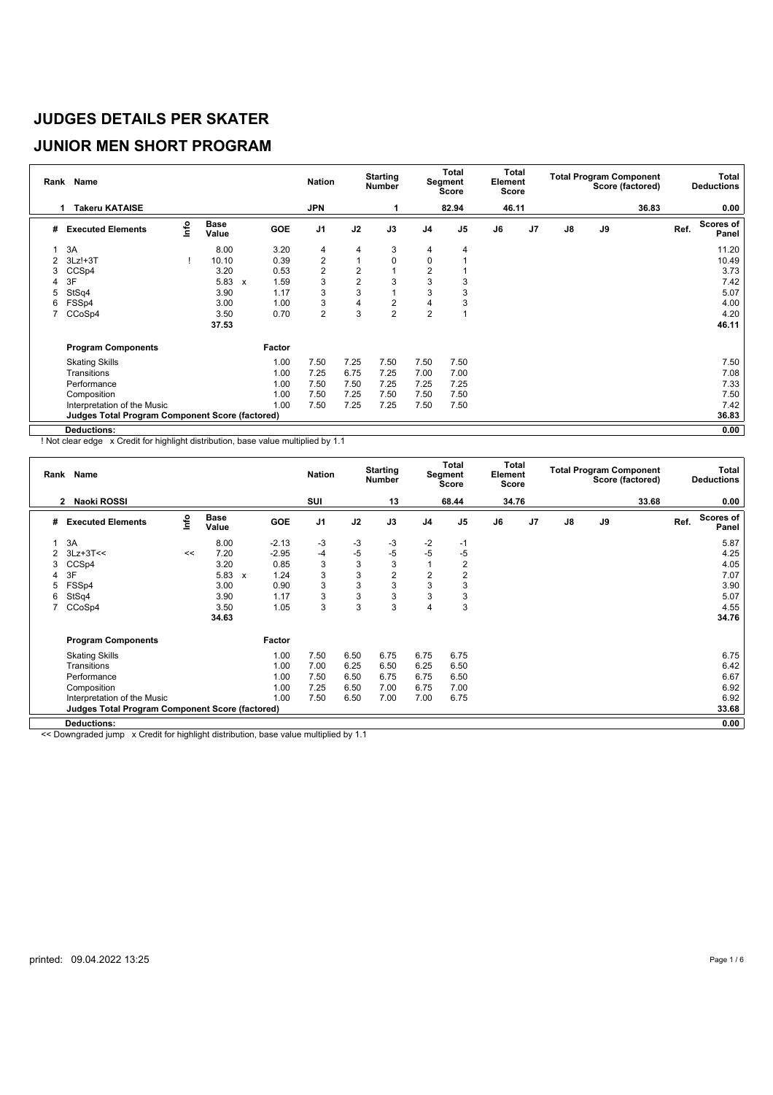#### **JUNIOR MEN SHORT PROGRAM**

| Rank | <b>Name</b>                                            |             |                      |                           |            | <b>Nation</b>           |                | <b>Starting</b><br><b>Number</b> |                | Total<br>Segment<br>Score | Total<br>Element<br><b>Score</b> |                |    |    | <b>Total Program Component</b><br>Score (factored) |      | <b>Total</b><br><b>Deductions</b> |
|------|--------------------------------------------------------|-------------|----------------------|---------------------------|------------|-------------------------|----------------|----------------------------------|----------------|---------------------------|----------------------------------|----------------|----|----|----------------------------------------------------|------|-----------------------------------|
|      | <b>Takeru KATAISE</b><br>1                             |             |                      |                           |            | <b>JPN</b>              |                |                                  |                | 82.94                     | 46.11                            |                |    |    | 36.83                                              |      | 0.00                              |
| #    | <b>Executed Elements</b>                               | <u>info</u> | <b>Base</b><br>Value |                           | <b>GOE</b> | J <sub>1</sub>          | J2             | J3                               | J <sub>4</sub> | J <sub>5</sub>            | J6                               | J <sub>7</sub> | J8 | J9 |                                                    | Ref. | Scores of<br>Panel                |
|      | 3A                                                     |             | 8.00                 |                           | 3.20       | 4                       | 4              | 3                                | 4              | 4                         |                                  |                |    |    |                                                    |      | 11.20                             |
| 2    | $3Lz!+3T$                                              |             | 10.10                |                           | 0.39       | $\overline{c}$          | 1              | $\mathbf 0$                      | $\mathbf 0$    |                           |                                  |                |    |    |                                                    |      | 10.49                             |
| 3    | CCSp4                                                  |             | 3.20                 |                           | 0.53       | $\overline{\mathbf{c}}$ | $\overline{2}$ |                                  | $\overline{c}$ |                           |                                  |                |    |    |                                                    |      | 3.73                              |
| 4    | 3F                                                     |             | 5.83                 | $\boldsymbol{\mathsf{x}}$ | 1.59       | 3                       | $\overline{2}$ | 3                                | 3              |                           |                                  |                |    |    |                                                    |      | 7.42                              |
| 5    | StSq4                                                  |             | 3.90                 |                           | 1.17       | 3                       | 3              |                                  | 3              |                           |                                  |                |    |    |                                                    |      | 5.07                              |
| 6    | FSSp4                                                  |             | 3.00                 |                           | 1.00       | 3                       | 4              | $\overline{2}$                   | 4              |                           |                                  |                |    |    |                                                    |      | 4.00                              |
| 7    | CCoSp4                                                 |             | 3.50                 |                           | 0.70       | $\overline{c}$          | 3              | $\overline{2}$                   | $\overline{2}$ |                           |                                  |                |    |    |                                                    |      | 4.20                              |
|      |                                                        |             | 37.53                |                           |            |                         |                |                                  |                |                           |                                  |                |    |    |                                                    |      | 46.11                             |
|      | <b>Program Components</b>                              |             |                      |                           | Factor     |                         |                |                                  |                |                           |                                  |                |    |    |                                                    |      |                                   |
|      | <b>Skating Skills</b>                                  |             |                      |                           | 1.00       | 7.50                    | 7.25           | 7.50                             | 7.50           | 7.50                      |                                  |                |    |    |                                                    |      | 7.50                              |
|      | Transitions                                            |             |                      |                           | 1.00       | 7.25                    | 6.75           | 7.25                             | 7.00           | 7.00                      |                                  |                |    |    |                                                    |      | 7.08                              |
|      | Performance                                            |             |                      |                           | 1.00       | 7.50                    | 7.50           | 7.25                             | 7.25           | 7.25                      |                                  |                |    |    |                                                    |      | 7.33                              |
|      | Composition                                            |             |                      |                           | 1.00       | 7.50                    | 7.25           | 7.50                             | 7.50           | 7.50                      |                                  |                |    |    |                                                    |      | 7.50                              |
|      | Interpretation of the Music                            |             |                      |                           | 1.00       | 7.50                    | 7.25           | 7.25                             | 7.50           | 7.50                      |                                  |                |    |    |                                                    |      | 7.42                              |
|      | <b>Judges Total Program Component Score (factored)</b> |             |                      |                           |            |                         |                |                                  |                |                           |                                  |                |    |    |                                                    |      | 36.83                             |
|      | <b>Deductions:</b>                                     |             |                      |                           |            |                         |                |                                  |                |                           |                                  |                |    |    |                                                    |      | 0.00                              |

! Not clear edge x Credit for highlight distribution, base value multiplied by 1.1

|                | Rank Name                                              |      |               |                                   | <b>Nation</b>  |      | <b>Starting</b><br><b>Number</b> |                | Total<br>Segment<br>Score | Total<br>Element<br><b>Score</b> |    |               |    | <b>Total Program Component</b><br>Score (factored) |      | Total<br><b>Deductions</b> |
|----------------|--------------------------------------------------------|------|---------------|-----------------------------------|----------------|------|----------------------------------|----------------|---------------------------|----------------------------------|----|---------------|----|----------------------------------------------------|------|----------------------------|
|                | Naoki ROSSI<br>$\mathbf{2}$                            |      |               |                                   | SUI            |      | 13                               |                | 68.44                     | 34.76                            |    |               |    | 33.68                                              |      | 0.00                       |
| #              | <b>Executed Elements</b>                               | lnfo | Base<br>Value | GOE                               | J <sub>1</sub> | J2   | J3                               | J4             | J5                        | J6                               | J7 | $\mathsf{J}8$ | J9 |                                                    | Ref. | Scores of<br>Panel         |
|                | 3A                                                     |      | 8.00          | $-2.13$                           | -3             | $-3$ | $-3$                             | $-2$           | $-1$                      |                                  |    |               |    |                                                    |      | 5.87                       |
| $\overline{2}$ | $3Lz+3T<<$                                             | <<   | 7.20          | $-2.95$                           | -4             | $-5$ | $-5$                             | $-5$           | -5                        |                                  |    |               |    |                                                    |      | 4.25                       |
| 3              | CCS <sub>p4</sub>                                      |      | 3.20          | 0.85                              | 3              | 3    | 3                                |                | 2                         |                                  |    |               |    |                                                    |      | 4.05                       |
| 4              | 3F                                                     |      | 5.83          | 1.24<br>$\boldsymbol{\mathsf{x}}$ | 3              | 3    | $\overline{2}$                   | $\overline{2}$ | 2                         |                                  |    |               |    |                                                    |      | 7.07                       |
| 5              | FSSp4                                                  |      | 3.00          | 0.90                              | 3              | 3    | 3                                | 3              | 3                         |                                  |    |               |    |                                                    |      | 3.90                       |
| 6              | StSq4                                                  |      | 3.90          | 1.17                              | 3              | 3    | 3                                | 3              | 3                         |                                  |    |               |    |                                                    |      | 5.07                       |
|                | CCoSp4                                                 |      | 3.50          | 1.05                              | 3              | 3    | 3                                | $\overline{4}$ | 3                         |                                  |    |               |    |                                                    |      | 4.55                       |
|                |                                                        |      | 34.63         |                                   |                |      |                                  |                |                           |                                  |    |               |    |                                                    |      | 34.76                      |
|                | <b>Program Components</b>                              |      |               | Factor                            |                |      |                                  |                |                           |                                  |    |               |    |                                                    |      |                            |
|                | <b>Skating Skills</b>                                  |      |               | 1.00                              | 7.50           | 6.50 | 6.75                             | 6.75           | 6.75                      |                                  |    |               |    |                                                    |      | 6.75                       |
|                | Transitions                                            |      |               | 1.00                              | 7.00           | 6.25 | 6.50                             | 6.25           | 6.50                      |                                  |    |               |    |                                                    |      | 6.42                       |
|                | Performance                                            |      |               | 1.00                              | 7.50           | 6.50 | 6.75                             | 6.75           | 6.50                      |                                  |    |               |    |                                                    |      | 6.67                       |
|                | Composition                                            |      |               | 1.00                              | 7.25           | 6.50 | 7.00                             | 6.75           | 7.00                      |                                  |    |               |    |                                                    |      | 6.92                       |
|                | Interpretation of the Music                            |      |               | 1.00                              | 7.50           | 6.50 | 7.00                             | 7.00           | 6.75                      |                                  |    |               |    |                                                    |      | 6.92                       |
|                | <b>Judges Total Program Component Score (factored)</b> |      |               |                                   |                |      |                                  |                |                           |                                  |    |               |    |                                                    |      | 33.68                      |
|                | <b>Deductions:</b>                                     |      |               |                                   |                |      |                                  |                |                           |                                  |    |               |    |                                                    |      | 0.00                       |

<< Downgraded jump x Credit for highlight distribution, base value multiplied by 1.1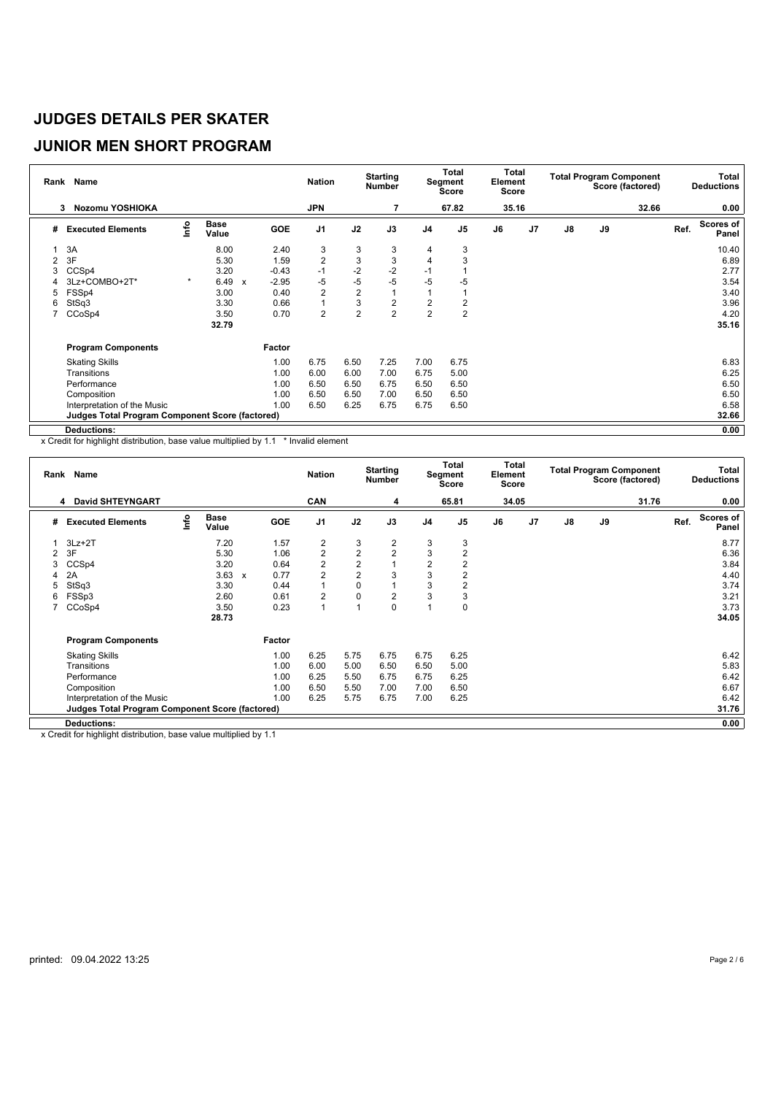#### **JUNIOR MEN SHORT PROGRAM**

|                | Rank Name                                              |                                  |                      |                           |            | <b>Nation</b>  |                | <b>Starting</b><br><b>Number</b> |                | Total<br>Segment<br>Score | Total<br>Element<br><b>Score</b> |                |               |    | <b>Total Program Component</b><br>Score (factored) |      | <b>Total</b><br><b>Deductions</b> |
|----------------|--------------------------------------------------------|----------------------------------|----------------------|---------------------------|------------|----------------|----------------|----------------------------------|----------------|---------------------------|----------------------------------|----------------|---------------|----|----------------------------------------------------|------|-----------------------------------|
|                | Nozomu YOSHIOKA<br>3                                   |                                  |                      |                           |            | <b>JPN</b>     |                |                                  |                | 67.82                     | 35.16                            |                |               |    | 32.66                                              |      | 0.00                              |
| #              | <b>Executed Elements</b>                               | $\mathop{\mathsf{Irr}}\nolimits$ | <b>Base</b><br>Value |                           | <b>GOE</b> | J <sub>1</sub> | J2             | J3                               | J <sub>4</sub> | J <sub>5</sub>            | J6                               | J <sub>7</sub> | $\mathsf{J}8$ | J9 |                                                    | Ref. | Scores of<br>Panel                |
|                | 3A                                                     |                                  | 8.00                 |                           | 2.40       | 3              | 3              | 3                                | 4              | 3                         |                                  |                |               |    |                                                    |      | 10.40                             |
| $\overline{2}$ | 3F                                                     |                                  | 5.30                 |                           | 1.59       | $\overline{2}$ | 3              | 3                                | 4              | 3                         |                                  |                |               |    |                                                    |      | 6.89                              |
| 3              | CCSp4                                                  |                                  | 3.20                 |                           | $-0.43$    | $-1$           | $-2$           | $-2$                             | $-1$           |                           |                                  |                |               |    |                                                    |      | 2.77                              |
| 4              | 3Lz+COMBO+2T*                                          | $\star$                          | 6.49                 | $\boldsymbol{\mathsf{x}}$ | $-2.95$    | -5             | $-5$           | $-5$                             | $-5$           | $-5$                      |                                  |                |               |    |                                                    |      | 3.54                              |
| 5              | FSSp4                                                  |                                  | 3.00                 |                           | 0.40       | $\overline{2}$ | $\overline{2}$ |                                  |                |                           |                                  |                |               |    |                                                    |      | 3.40                              |
| 6              | StSq3                                                  |                                  | 3.30                 |                           | 0.66       | $\mathbf{1}$   | 3              | $\overline{\mathbf{c}}$          | $\overline{c}$ | 2                         |                                  |                |               |    |                                                    |      | 3.96                              |
|                | CCoSp4                                                 |                                  | 3.50                 |                           | 0.70       | $\overline{2}$ | $\overline{2}$ | $\overline{2}$                   | $\overline{2}$ | $\overline{2}$            |                                  |                |               |    |                                                    |      | 4.20                              |
|                |                                                        |                                  | 32.79                |                           |            |                |                |                                  |                |                           |                                  |                |               |    |                                                    |      | 35.16                             |
|                | <b>Program Components</b>                              |                                  |                      |                           | Factor     |                |                |                                  |                |                           |                                  |                |               |    |                                                    |      |                                   |
|                | <b>Skating Skills</b>                                  |                                  |                      |                           | 1.00       | 6.75           | 6.50           | 7.25                             | 7.00           | 6.75                      |                                  |                |               |    |                                                    |      | 6.83                              |
|                | Transitions                                            |                                  |                      |                           | 1.00       | 6.00           | 6.00           | 7.00                             | 6.75           | 5.00                      |                                  |                |               |    |                                                    |      | 6.25                              |
|                | Performance                                            |                                  |                      |                           | 1.00       | 6.50           | 6.50           | 6.75                             | 6.50           | 6.50                      |                                  |                |               |    |                                                    |      | 6.50                              |
|                | Composition                                            |                                  |                      |                           | 1.00       | 6.50           | 6.50           | 7.00                             | 6.50           | 6.50                      |                                  |                |               |    |                                                    |      | 6.50                              |
|                | Interpretation of the Music                            |                                  |                      |                           | 1.00       | 6.50           | 6.25           | 6.75                             | 6.75           | 6.50                      |                                  |                |               |    |                                                    |      | 6.58                              |
|                | <b>Judges Total Program Component Score (factored)</b> |                                  |                      |                           |            |                |                |                                  |                |                           |                                  |                |               |    |                                                    |      | 32.66                             |
|                | <b>Deductions:</b>                                     |                                  |                      |                           |            |                |                |                                  |                |                           |                                  |                |               |    |                                                    |      | 0.00                              |

x Credit for highlight distribution, base value multiplied by 1.1 \* Invalid element

|   | Rank Name                                              |      |                      |              |        | <b>Nation</b>  |                | <b>Starting</b><br><b>Number</b> |                | Total<br>Segment<br>Score | Total<br>Element<br><b>Score</b> |    |               |    | <b>Total Program Component</b><br>Score (factored) |      | Total<br><b>Deductions</b> |
|---|--------------------------------------------------------|------|----------------------|--------------|--------|----------------|----------------|----------------------------------|----------------|---------------------------|----------------------------------|----|---------------|----|----------------------------------------------------|------|----------------------------|
|   | <b>David SHTEYNGART</b><br>4                           |      |                      |              |        | <b>CAN</b>     |                | 4                                |                | 65.81                     | 34.05                            |    |               |    | 31.76                                              |      | 0.00                       |
| # | <b>Executed Elements</b>                               | lnfo | <b>Base</b><br>Value |              | GOE    | J <sub>1</sub> | J2             | J3                               | J <sub>4</sub> | J <sub>5</sub>            | J6                               | J7 | $\mathsf{J}8$ | J9 |                                                    | Ref. | <b>Scores of</b><br>Panel  |
|   | $3Lz + 2T$                                             |      | 7.20                 |              | 1.57   | $\overline{2}$ | 3              | 2                                | 3              | 3                         |                                  |    |               |    |                                                    |      | 8.77                       |
| 2 | 3F                                                     |      | 5.30                 |              | 1.06   | $\overline{2}$ | $\overline{2}$ | $\overline{2}$                   | 3              | $\overline{2}$            |                                  |    |               |    |                                                    |      | 6.36                       |
| 3 | CCS <sub>p4</sub>                                      |      | 3.20                 |              | 0.64   | 2              | $\overline{2}$ |                                  | $\overline{2}$ | 2                         |                                  |    |               |    |                                                    |      | 3.84                       |
| 4 | 2A                                                     |      | 3.63                 | $\mathbf{x}$ | 0.77   | $\overline{2}$ | $\overline{2}$ | 3                                | 3              | $\overline{2}$            |                                  |    |               |    |                                                    |      | 4.40                       |
| 5 | StSq3                                                  |      | 3.30                 |              | 0.44   | $\mathbf{1}$   | $\pmb{0}$      |                                  | 3              | 2                         |                                  |    |               |    |                                                    |      | 3.74                       |
| 6 | FSSp3                                                  |      | 2.60                 |              | 0.61   | 2              | $\pmb{0}$      | 2                                | 3              | 3                         |                                  |    |               |    |                                                    |      | 3.21                       |
|   | CCoSp4                                                 |      | 3.50                 |              | 0.23   | 1              | $\overline{1}$ | 0                                |                | $\mathbf 0$               |                                  |    |               |    |                                                    |      | 3.73                       |
|   |                                                        |      | 28.73                |              |        |                |                |                                  |                |                           |                                  |    |               |    |                                                    |      | 34.05                      |
|   | <b>Program Components</b>                              |      |                      |              | Factor |                |                |                                  |                |                           |                                  |    |               |    |                                                    |      |                            |
|   | <b>Skating Skills</b>                                  |      |                      |              | 1.00   | 6.25           | 5.75           | 6.75                             | 6.75           | 6.25                      |                                  |    |               |    |                                                    |      | 6.42                       |
|   | Transitions                                            |      |                      |              | 1.00   | 6.00           | 5.00           | 6.50                             | 6.50           | 5.00                      |                                  |    |               |    |                                                    |      | 5.83                       |
|   | Performance                                            |      |                      |              | 1.00   | 6.25           | 5.50           | 6.75                             | 6.75           | 6.25                      |                                  |    |               |    |                                                    |      | 6.42                       |
|   | Composition                                            |      |                      |              | 1.00   | 6.50           | 5.50           | 7.00                             | 7.00           | 6.50                      |                                  |    |               |    |                                                    |      | 6.67                       |
|   | Interpretation of the Music                            |      |                      |              | 1.00   | 6.25           | 5.75           | 6.75                             | 7.00           | 6.25                      |                                  |    |               |    |                                                    |      | 6.42                       |
|   | <b>Judges Total Program Component Score (factored)</b> |      |                      |              |        |                |                |                                  |                |                           |                                  |    |               |    |                                                    |      | 31.76                      |
|   | <b>Deductions:</b>                                     |      |                      |              |        |                |                |                                  |                |                           |                                  |    |               |    |                                                    |      | 0.00                       |

x Credit for highlight distribution, base value multiplied by 1.1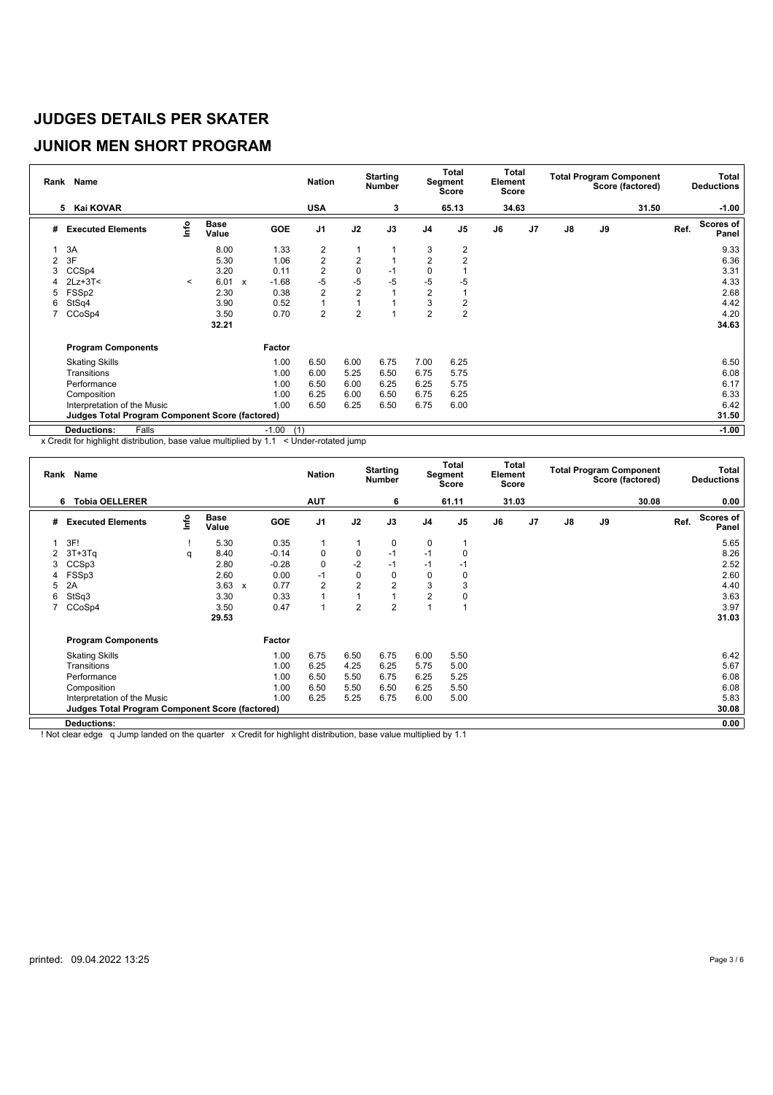# **JUNIOR MEN SHORT PROGRAM**

| Rank | Name                                            |         |                      |                           |                | <b>Nation</b>  |                | <b>Starting</b><br><b>Number</b> |                | <b>Total</b><br>Segment<br><b>Score</b> | Total<br>Element<br>Score |                |               |    | <b>Total Program Component</b><br>Score (factored) |      | Total<br><b>Deductions</b> |
|------|-------------------------------------------------|---------|----------------------|---------------------------|----------------|----------------|----------------|----------------------------------|----------------|-----------------------------------------|---------------------------|----------------|---------------|----|----------------------------------------------------|------|----------------------------|
|      | 5 Kai KOVAR                                     |         |                      |                           |                | <b>USA</b>     |                | 3                                |                | 65.13                                   | 34.63                     |                |               |    | 31.50                                              |      | $-1.00$                    |
| #    | <b>Executed Elements</b>                        | lnfo    | <b>Base</b><br>Value |                           | GOE            | J <sub>1</sub> | J2             | J3                               | J <sub>4</sub> | J <sub>5</sub>                          | J6                        | J <sub>7</sub> | $\mathsf{J}8$ | J9 |                                                    | Ref. | <b>Scores of</b><br>Panel  |
|      | 3A                                              |         | 8.00                 |                           | 1.33           | $\overline{2}$ | 1              |                                  | 3              | 2                                       |                           |                |               |    |                                                    |      | 9.33                       |
| 2    | 3F                                              |         | 5.30                 |                           | 1.06           | $\overline{2}$ | $\overline{2}$ |                                  | $\overline{2}$ | $\overline{2}$                          |                           |                |               |    |                                                    |      | 6.36                       |
| 3    | CCSp4                                           |         | 3.20                 |                           | 0.11           | $\overline{2}$ | $\mathbf 0$    | $-1$                             | $\mathbf 0$    |                                         |                           |                |               |    |                                                    |      | 3.31                       |
|      | $2Lz + 3T <$                                    | $\,<\,$ | 6.01                 | $\boldsymbol{\mathsf{x}}$ | $-1.68$        | $-5$           | $-5$           | $-5$                             | $-5$           | $-5$                                    |                           |                |               |    |                                                    |      | 4.33                       |
| 5    | FSSp2                                           |         | 2.30                 |                           | 0.38           | $\overline{2}$ | $\overline{2}$ |                                  | $\overline{2}$ |                                         |                           |                |               |    |                                                    |      | 2.68                       |
| 6    | StSq4                                           |         | 3.90                 |                           | 0.52           | $\overline{1}$ | 1              |                                  | 3              | 2                                       |                           |                |               |    |                                                    |      | 4.42                       |
| 7    | CCoSp4                                          |         | 3.50                 |                           | 0.70           | $\overline{2}$ | $\overline{2}$ |                                  | $\overline{2}$ | $\overline{2}$                          |                           |                |               |    |                                                    |      | 4.20                       |
|      |                                                 |         | 32.21                |                           |                |                |                |                                  |                |                                         |                           |                |               |    |                                                    |      | 34.63                      |
|      | <b>Program Components</b>                       |         |                      |                           | Factor         |                |                |                                  |                |                                         |                           |                |               |    |                                                    |      |                            |
|      | <b>Skating Skills</b>                           |         |                      |                           | 1.00           | 6.50           | 6.00           | 6.75                             | 7.00           | 6.25                                    |                           |                |               |    |                                                    |      | 6.50                       |
|      | Transitions                                     |         |                      |                           | 1.00           | 6.00           | 5.25           | 6.50                             | 6.75           | 5.75                                    |                           |                |               |    |                                                    |      | 6.08                       |
|      | Performance                                     |         |                      |                           | 1.00           | 6.50           | 6.00           | 6.25                             | 6.25           | 5.75                                    |                           |                |               |    |                                                    |      | 6.17                       |
|      | Composition                                     |         |                      |                           | 1.00           | 6.25           | 6.00           | 6.50                             | 6.75           | 6.25                                    |                           |                |               |    |                                                    |      | 6.33                       |
|      | Interpretation of the Music                     |         |                      |                           | 1.00           | 6.50           | 6.25           | 6.50                             | 6.75           | 6.00                                    |                           |                |               |    |                                                    |      | 6.42                       |
|      | Judges Total Program Component Score (factored) |         |                      |                           |                |                |                |                                  |                |                                         |                           |                |               |    |                                                    |      | 31.50                      |
|      | Falls<br><b>Deductions:</b>                     |         |                      |                           | $-1.00$<br>(1) |                |                |                                  |                |                                         |                           |                |               |    |                                                    |      | $-1.00$                    |

x Credit for highlight distribution, base value multiplied by 1.1 < Under-rotated jump

|   | Rank Name                                              |      |                      |                      | <b>Nation</b>  |                | <b>Starting</b><br><b>Number</b> |                | Total<br>Segment<br><b>Score</b> | Element<br><b>Score</b> | Total |               |    | <b>Total Program Component</b><br>Score (factored) |      | Total<br><b>Deductions</b> |
|---|--------------------------------------------------------|------|----------------------|----------------------|----------------|----------------|----------------------------------|----------------|----------------------------------|-------------------------|-------|---------------|----|----------------------------------------------------|------|----------------------------|
|   | <b>Tobia OELLERER</b><br>6                             |      |                      |                      | <b>AUT</b>     |                | 6                                |                | 61.11                            | 31.03                   |       |               |    | 30.08                                              |      | 0.00                       |
| # | <b>Executed Elements</b>                               | lnfo | <b>Base</b><br>Value | <b>GOE</b>           | J <sub>1</sub> | J2             | J3                               | J4             | J5                               | J6                      | J7    | $\mathsf{J}8$ | J9 |                                                    | Ref. | Scores of<br>Panel         |
|   | 3F!                                                    |      | 5.30                 | 0.35                 | $\mathbf{1}$   | $\mathbf{1}$   | 0                                | 0              |                                  |                         |       |               |    |                                                    |      | 5.65                       |
| 2 | $3T+3Tq$                                               | q    | 8.40                 | $-0.14$              | 0              | 0              | $-1$                             | $-1$           | $\Omega$                         |                         |       |               |    |                                                    |      | 8.26                       |
| 3 | CCSp3                                                  |      | 2.80                 | $-0.28$              | $\mathbf 0$    | $-2$           | $-1$                             | $-1$           | -1                               |                         |       |               |    |                                                    |      | 2.52                       |
| 4 | FSSp3                                                  |      | 2.60                 | 0.00                 | $-1$           | $\mathbf 0$    | 0                                | 0              | 0                                |                         |       |               |    |                                                    |      | 2.60                       |
| 5 | 2A                                                     |      | 3.63                 | 0.77<br>$\mathsf{x}$ | $\overline{2}$ | $\overline{2}$ | $\overline{2}$                   | 3              | 3                                |                         |       |               |    |                                                    |      | 4.40                       |
| 6 | StSq3                                                  |      | 3.30                 | 0.33                 | $\overline{1}$ |                |                                  | $\overline{2}$ | 0                                |                         |       |               |    |                                                    |      | 3.63                       |
| 7 | CCoSp4                                                 |      | 3.50                 | 0.47                 | $\overline{1}$ | $\overline{2}$ | $\overline{2}$                   | $\overline{A}$ |                                  |                         |       |               |    |                                                    |      | 3.97                       |
|   |                                                        |      | 29.53                |                      |                |                |                                  |                |                                  |                         |       |               |    |                                                    |      | 31.03                      |
|   | <b>Program Components</b>                              |      |                      | Factor               |                |                |                                  |                |                                  |                         |       |               |    |                                                    |      |                            |
|   | <b>Skating Skills</b>                                  |      |                      | 1.00                 | 6.75           | 6.50           | 6.75                             | 6.00           | 5.50                             |                         |       |               |    |                                                    |      | 6.42                       |
|   | Transitions                                            |      |                      | 1.00                 | 6.25           | 4.25           | 6.25                             | 5.75           | 5.00                             |                         |       |               |    |                                                    |      | 5.67                       |
|   | Performance                                            |      |                      | 1.00                 | 6.50           | 5.50           | 6.75                             | 6.25           | 5.25                             |                         |       |               |    |                                                    |      | 6.08                       |
|   | Composition                                            |      |                      | 1.00                 | 6.50           | 5.50           | 6.50                             | 6.25           | 5.50                             |                         |       |               |    |                                                    |      | 6.08                       |
|   | Interpretation of the Music                            |      |                      | 1.00                 | 6.25           | 5.25           | 6.75                             | 6.00           | 5.00                             |                         |       |               |    |                                                    |      | 5.83                       |
|   | <b>Judges Total Program Component Score (factored)</b> |      |                      |                      |                |                |                                  |                |                                  |                         |       |               |    |                                                    |      | 30.08                      |
|   | <b>Deductions:</b>                                     |      |                      |                      |                |                |                                  |                |                                  |                         |       |               |    |                                                    |      | 0.00                       |

! Not clear edge q Jump landed on the quarter x Credit for highlight distribution, base value multiplied by 1.1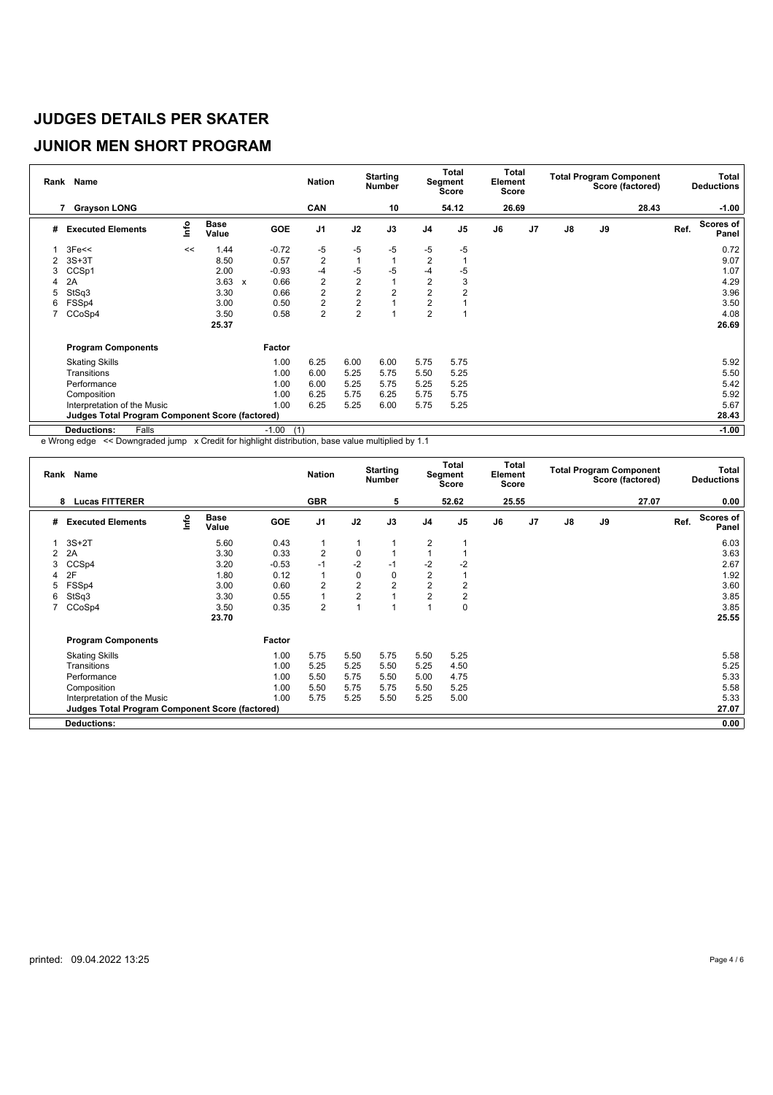### **JUNIOR MEN SHORT PROGRAM**

|   | Rank Name                                       |      |                      |              |                | <b>Nation</b>  |                | <b>Starting</b><br><b>Number</b> |                | Total<br>Segment<br>Score | Total<br>Element<br>Score |                |               |    | <b>Total Program Component</b><br>Score (factored) |      | Total<br><b>Deductions</b> |
|---|-------------------------------------------------|------|----------------------|--------------|----------------|----------------|----------------|----------------------------------|----------------|---------------------------|---------------------------|----------------|---------------|----|----------------------------------------------------|------|----------------------------|
|   | <b>Grayson LONG</b><br>7                        |      |                      |              |                | <b>CAN</b>     |                | 10                               |                | 54.12                     | 26.69                     |                |               |    | 28.43                                              |      | $-1.00$                    |
| # | <b>Executed Elements</b>                        | info | <b>Base</b><br>Value |              | GOE            | J <sub>1</sub> | J2             | J3                               | J <sub>4</sub> | J <sub>5</sub>            | J6                        | J <sub>7</sub> | $\mathsf{J}8$ | J9 |                                                    | Ref. | <b>Scores of</b><br>Panel  |
|   | 3Fe<<                                           | <<   | 1.44                 |              | $-0.72$        | -5             | $-5$           | $-5$                             | -5             | $-5$                      |                           |                |               |    |                                                    |      | 0.72                       |
| 2 | $3S+3T$                                         |      | 8.50                 |              | 0.57           | $\overline{2}$ | 1              |                                  | $\overline{2}$ |                           |                           |                |               |    |                                                    |      | 9.07                       |
| 3 | CCSp1                                           |      | 2.00                 |              | $-0.93$        | $-4$           | -5             | -5                               | -4             | $-5$                      |                           |                |               |    |                                                    |      | 1.07                       |
| 4 | 2A                                              |      | 3.63                 | $\mathbf{x}$ | 0.66           | $\overline{2}$ | $\overline{2}$ |                                  | $\overline{2}$ | 3                         |                           |                |               |    |                                                    |      | 4.29                       |
| 5 | StSq3                                           |      | 3.30                 |              | 0.66           | 2              | $\overline{2}$ | $\overline{2}$                   | $\overline{2}$ | $\overline{2}$            |                           |                |               |    |                                                    |      | 3.96                       |
| 6 | FSSp4                                           |      | 3.00                 |              | 0.50           | $\overline{2}$ | $\overline{2}$ |                                  | 2              |                           |                           |                |               |    |                                                    |      | 3.50                       |
|   | CCoSp4                                          |      | 3.50                 |              | 0.58           | $\overline{2}$ | $\overline{2}$ |                                  | $\overline{2}$ |                           |                           |                |               |    |                                                    |      | 4.08                       |
|   |                                                 |      | 25.37                |              |                |                |                |                                  |                |                           |                           |                |               |    |                                                    |      | 26.69                      |
|   | <b>Program Components</b>                       |      |                      |              | Factor         |                |                |                                  |                |                           |                           |                |               |    |                                                    |      |                            |
|   | <b>Skating Skills</b>                           |      |                      |              | 1.00           | 6.25           | 6.00           | 6.00                             | 5.75           | 5.75                      |                           |                |               |    |                                                    |      | 5.92                       |
|   | Transitions                                     |      |                      |              | 1.00           | 6.00           | 5.25           | 5.75                             | 5.50           | 5.25                      |                           |                |               |    |                                                    |      | 5.50                       |
|   | Performance                                     |      |                      |              | 1.00           | 6.00           | 5.25           | 5.75                             | 5.25           | 5.25                      |                           |                |               |    |                                                    |      | 5.42                       |
|   | Composition                                     |      |                      |              | 1.00           | 6.25           | 5.75           | 6.25                             | 5.75           | 5.75                      |                           |                |               |    |                                                    |      | 5.92                       |
|   | Interpretation of the Music                     |      |                      |              | 1.00           | 6.25           | 5.25           | 6.00                             | 5.75           | 5.25                      |                           |                |               |    |                                                    |      | 5.67                       |
|   | Judges Total Program Component Score (factored) |      |                      |              |                |                |                |                                  |                |                           |                           |                |               |    |                                                    |      | 28.43                      |
|   | Falls<br><b>Deductions:</b>                     |      |                      |              | $-1.00$<br>(1) |                |                |                                  |                |                           |                           |                |               |    |                                                    |      | $-1.00$                    |

e Wrong edge << Downgraded jump x Credit for highlight distribution, base value multiplied by 1.1

|   | Rank Name                                       |      |                      |            | <b>Nation</b>  |                | <b>Starting</b><br><b>Number</b> |                | <b>Total</b><br>Segment<br><b>Score</b> | Total<br>Element<br>Score |                |               |    | <b>Total Program Component</b><br>Score (factored) |      | Total<br><b>Deductions</b> |
|---|-------------------------------------------------|------|----------------------|------------|----------------|----------------|----------------------------------|----------------|-----------------------------------------|---------------------------|----------------|---------------|----|----------------------------------------------------|------|----------------------------|
|   | <b>Lucas FITTERER</b><br>8                      |      |                      |            | <b>GBR</b>     |                | 5                                |                | 52.62                                   | 25.55                     |                |               |    | 27.07                                              |      | 0.00                       |
| # | <b>Executed Elements</b>                        | Info | <b>Base</b><br>Value | <b>GOE</b> | J <sub>1</sub> | J2             | J3                               | J <sub>4</sub> | J <sub>5</sub>                          | J6                        | J <sub>7</sub> | $\mathsf{J}8$ | J9 |                                                    | Ref. | Scores of<br>Panel         |
|   | $3S+2T$                                         |      | 5.60                 | 0.43       | $\mathbf{1}$   |                |                                  | 2              |                                         |                           |                |               |    |                                                    |      | 6.03                       |
| 2 | 2A                                              |      | 3.30                 | 0.33       | $\overline{2}$ | 0              |                                  |                |                                         |                           |                |               |    |                                                    |      | 3.63                       |
| 3 | CCSp4                                           |      | 3.20                 | $-0.53$    | $-1$           | $-2$           | $-1$                             | $-2$           | $-2$                                    |                           |                |               |    |                                                    |      | 2.67                       |
|   | 2F                                              |      | 1.80                 | 0.12       | $\overline{1}$ | $\mathbf 0$    | 0                                | $\overline{2}$ |                                         |                           |                |               |    |                                                    |      | 1.92                       |
| 5 | FSSp4                                           |      | 3.00                 | 0.60       | $\overline{2}$ | $\overline{2}$ | $\overline{2}$                   | $\overline{2}$ | $\overline{2}$                          |                           |                |               |    |                                                    |      | 3.60                       |
| 6 | StSq3                                           |      | 3.30                 | 0.55       | 1              | $\overline{2}$ | $\overline{A}$                   | $\overline{2}$ | $\overline{2}$                          |                           |                |               |    |                                                    |      | 3.85                       |
|   | CCoSp4                                          |      | 3.50                 | 0.35       | $\overline{2}$ |                | $\overline{A}$                   | и              | 0                                       |                           |                |               |    |                                                    |      | 3.85                       |
|   |                                                 |      | 23.70                |            |                |                |                                  |                |                                         |                           |                |               |    |                                                    |      | 25.55                      |
|   | <b>Program Components</b>                       |      |                      | Factor     |                |                |                                  |                |                                         |                           |                |               |    |                                                    |      |                            |
|   | <b>Skating Skills</b>                           |      |                      | 1.00       | 5.75           | 5.50           | 5.75                             | 5.50           | 5.25                                    |                           |                |               |    |                                                    |      | 5.58                       |
|   | Transitions                                     |      |                      | 1.00       | 5.25           | 5.25           | 5.50                             | 5.25           | 4.50                                    |                           |                |               |    |                                                    |      | 5.25                       |
|   | Performance                                     |      |                      | 1.00       | 5.50           | 5.75           | 5.50                             | 5.00           | 4.75                                    |                           |                |               |    |                                                    |      | 5.33                       |
|   | Composition                                     |      |                      | 1.00       | 5.50           | 5.75           | 5.75                             | 5.50           | 5.25                                    |                           |                |               |    |                                                    |      | 5.58                       |
|   | Interpretation of the Music                     |      |                      | 1.00       | 5.75           | 5.25           | 5.50                             | 5.25           | 5.00                                    |                           |                |               |    |                                                    |      | 5.33                       |
|   | Judges Total Program Component Score (factored) |      |                      |            |                |                |                                  |                |                                         |                           |                |               |    |                                                    |      | 27.07                      |
|   | <b>Deductions:</b>                              |      |                      |            |                |                |                                  |                |                                         |                           |                |               |    |                                                    |      | 0.00                       |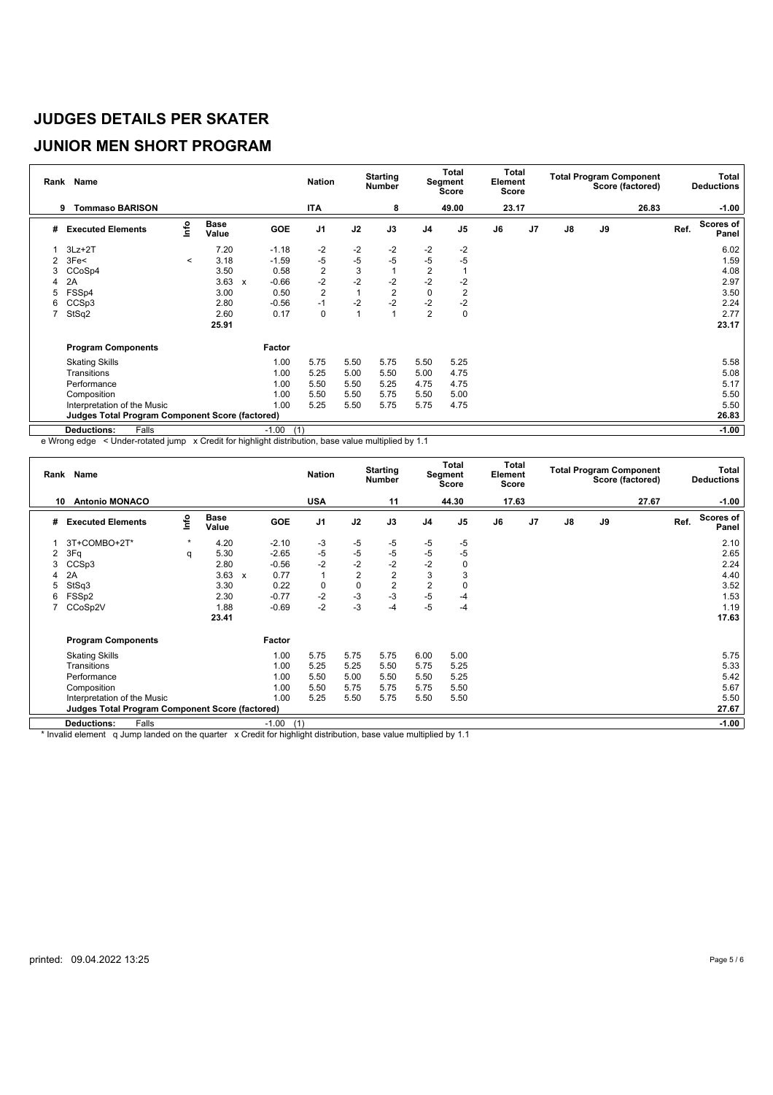#### **JUNIOR MEN SHORT PROGRAM**

|                | Rank Name                                              |         |               |              |                | <b>Nation</b>  |      | <b>Starting</b><br><b>Number</b> |                | <b>Total</b><br>Segment<br>Score | Total<br>Element<br><b>Score</b> |    |               |    | <b>Total Program Component</b><br>Score (factored) |      | <b>Total</b><br><b>Deductions</b> |
|----------------|--------------------------------------------------------|---------|---------------|--------------|----------------|----------------|------|----------------------------------|----------------|----------------------------------|----------------------------------|----|---------------|----|----------------------------------------------------|------|-----------------------------------|
|                | <b>Tommaso BARISON</b><br>9                            |         |               |              |                | ITA            |      | 8                                |                | 49.00                            | 23.17                            |    |               |    | 26.83                                              |      | $-1.00$                           |
| #              | <b>Executed Elements</b>                               | Info    | Base<br>Value |              | <b>GOE</b>     | J <sub>1</sub> | J2   | J3                               | J <sub>4</sub> | J <sub>5</sub>                   | J6                               | J7 | $\mathsf{J}8$ | J9 |                                                    | Ref. | Scores of<br>Panel                |
|                | $3Lz + 2T$                                             |         | 7.20          |              | $-1.18$        | -2             | $-2$ | $-2$                             | $-2$           | $-2$                             |                                  |    |               |    |                                                    |      | 6.02                              |
| $\overline{2}$ | 3Fe<                                                   | $\,<\,$ | 3.18          |              | $-1.59$        | $-5$           | $-5$ | $-5$                             | $-5$           | $-5$                             |                                  |    |               |    |                                                    |      | 1.59                              |
| 3              | CCoSp4                                                 |         | 3.50          |              | 0.58           | $\overline{2}$ | 3    |                                  | $\overline{2}$ |                                  |                                  |    |               |    |                                                    |      | 4.08                              |
| 4              | 2A                                                     |         | 3.63          | $\mathbf{x}$ | $-0.66$        | $-2$           | $-2$ | $-2$                             | $-2$           | $-2$                             |                                  |    |               |    |                                                    |      | 2.97                              |
| 5              | FSSp4                                                  |         | 3.00          |              | 0.50           | $\overline{2}$ | 1    | $\overline{2}$                   | $\mathbf 0$    | 2                                |                                  |    |               |    |                                                    |      | 3.50                              |
| 6              | CCSp3                                                  |         | 2.80          |              | $-0.56$        | $-1$           | $-2$ | $-2$                             | $-2$           | $-2$                             |                                  |    |               |    |                                                    |      | 2.24                              |
|                | StSq2                                                  |         | 2.60          |              | 0.17           | 0              | 1    |                                  | $\overline{2}$ | 0                                |                                  |    |               |    |                                                    |      | 2.77                              |
|                |                                                        |         | 25.91         |              |                |                |      |                                  |                |                                  |                                  |    |               |    |                                                    |      | 23.17                             |
|                | <b>Program Components</b>                              |         |               |              | Factor         |                |      |                                  |                |                                  |                                  |    |               |    |                                                    |      |                                   |
|                | <b>Skating Skills</b>                                  |         |               |              | 1.00           | 5.75           | 5.50 | 5.75                             | 5.50           | 5.25                             |                                  |    |               |    |                                                    |      | 5.58                              |
|                | Transitions                                            |         |               |              | 1.00           | 5.25           | 5.00 | 5.50                             | 5.00           | 4.75                             |                                  |    |               |    |                                                    |      | 5.08                              |
|                | Performance                                            |         |               |              | 1.00           | 5.50           | 5.50 | 5.25                             | 4.75           | 4.75                             |                                  |    |               |    |                                                    |      | 5.17                              |
|                | Composition                                            |         |               |              | 1.00           | 5.50           | 5.50 | 5.75                             | 5.50           | 5.00                             |                                  |    |               |    |                                                    |      | 5.50                              |
|                | Interpretation of the Music                            |         |               |              | 1.00           | 5.25           | 5.50 | 5.75                             | 5.75           | 4.75                             |                                  |    |               |    |                                                    |      | 5.50                              |
|                | <b>Judges Total Program Component Score (factored)</b> |         |               |              |                |                |      |                                  |                |                                  |                                  |    |               |    |                                                    |      | 26.83                             |
|                | Falls<br><b>Deductions:</b>                            |         |               |              | $-1.00$<br>(1) |                |      |                                  |                |                                  |                                  |    |               |    |                                                    |      | $-1.00$                           |

e Wrong edge < Under-rotated jump x Credit for highlight distribution, base value multiplied by 1.1

|    | Rank Name                                              |         |                      |                           |                | <b>Nation</b>  |                | <b>Starting</b><br><b>Number</b> |                | Total<br>Segment<br><b>Score</b> | Total<br>Element<br><b>Score</b> |    |               |    | <b>Total Program Component</b><br>Score (factored) |      | Total<br><b>Deductions</b> |
|----|--------------------------------------------------------|---------|----------------------|---------------------------|----------------|----------------|----------------|----------------------------------|----------------|----------------------------------|----------------------------------|----|---------------|----|----------------------------------------------------|------|----------------------------|
| 10 | <b>Antonio MONACO</b>                                  |         |                      |                           |                | <b>USA</b>     |                | 11                               |                | 44.30                            | 17.63                            |    |               |    | 27.67                                              |      | $-1.00$                    |
| #  | <b>Executed Elements</b>                               | Info    | <b>Base</b><br>Value |                           | GOE            | J <sub>1</sub> | J2             | J3                               | J <sub>4</sub> | J <sub>5</sub>                   | J6                               | J7 | $\mathsf{J}8$ | J9 |                                                    | Ref. | <b>Scores of</b><br>Panel  |
|    | 3T+COMBO+2T*                                           | $\star$ | 4.20                 |                           | $-2.10$        | -3             | -5             | $-5$                             | $-5$           | $-5$                             |                                  |    |               |    |                                                    |      | 2.10                       |
| 2  | 3Fq                                                    | q       | 5.30                 |                           | $-2.65$        | $-5$           | $-5$           | $-5$                             | $-5$           | $-5$                             |                                  |    |               |    |                                                    |      | 2.65                       |
| 3  | CCS <sub>p3</sub>                                      |         | 2.80                 |                           | $-0.56$        | $-2$           | $-2$           | $-2$                             | $-2$           | 0                                |                                  |    |               |    |                                                    |      | 2.24                       |
| 4  | 2A                                                     |         | 3.63                 | $\boldsymbol{\mathsf{x}}$ | 0.77           | $\mathbf{1}$   | $\overline{2}$ | $\overline{2}$                   | 3              | 3                                |                                  |    |               |    |                                                    |      | 4.40                       |
| 5  | StSq3                                                  |         | 3.30                 |                           | 0.22           | $\mathbf 0$    | $\mathbf 0$    | $\overline{2}$                   | $\overline{2}$ |                                  |                                  |    |               |    |                                                    |      | 3.52                       |
| 6  | FSSp2                                                  |         | 2.30                 |                           | $-0.77$        | $-2$           | $-3$           | $-3$                             | $-5$           | -4                               |                                  |    |               |    |                                                    |      | 1.53                       |
|    | CCoSp2V                                                |         | 1.88                 |                           | $-0.69$        | $-2$           | -3             | $-4$                             | $-5$           | -4                               |                                  |    |               |    |                                                    |      | 1.19                       |
|    |                                                        |         | 23.41                |                           |                |                |                |                                  |                |                                  |                                  |    |               |    |                                                    |      | 17.63                      |
|    | <b>Program Components</b>                              |         |                      |                           | Factor         |                |                |                                  |                |                                  |                                  |    |               |    |                                                    |      |                            |
|    | <b>Skating Skills</b>                                  |         |                      |                           | 1.00           | 5.75           | 5.75           | 5.75                             | 6.00           | 5.00                             |                                  |    |               |    |                                                    |      | 5.75                       |
|    | Transitions                                            |         |                      |                           | 1.00           | 5.25           | 5.25           | 5.50                             | 5.75           | 5.25                             |                                  |    |               |    |                                                    |      | 5.33                       |
|    | Performance                                            |         |                      |                           | 1.00           | 5.50           | 5.00           | 5.50                             | 5.50           | 5.25                             |                                  |    |               |    |                                                    |      | 5.42                       |
|    | Composition                                            |         |                      |                           | 1.00           | 5.50           | 5.75           | 5.75                             | 5.75           | 5.50                             |                                  |    |               |    |                                                    |      | 5.67                       |
|    | Interpretation of the Music                            |         |                      |                           | 1.00           | 5.25           | 5.50           | 5.75                             | 5.50           | 5.50                             |                                  |    |               |    |                                                    |      | 5.50                       |
|    | <b>Judges Total Program Component Score (factored)</b> |         |                      |                           |                |                |                |                                  |                |                                  |                                  |    |               |    |                                                    |      | 27.67                      |
|    | Falls<br><b>Deductions:</b>                            |         |                      |                           | $-1.00$<br>(1) |                |                |                                  |                |                                  |                                  |    |               |    |                                                    |      | $-1.00$                    |

\* Invalid element q Jump landed on the quarter x Credit for highlight distribution, base value multiplied by 1.1